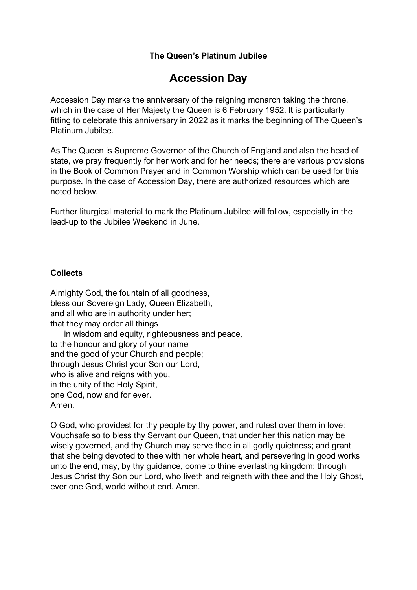## **The Queen's Platinum Jubilee**

# **Accession Day**

Accession Day marks the anniversary of the reigning monarch taking the throne, which in the case of Her Majesty the Queen is 6 February 1952. It is particularly fitting to celebrate this anniversary in 2022 as it marks the beginning of The Queen's Platinum Jubilee.

As The Queen is Supreme Governor of the Church of England and also the head of state, we pray frequently for her work and for her needs; there are various provisions in the Book of Common Prayer and in Common Worship which can be used for this purpose. In the case of Accession Day, there are authorized resources which are noted below.

Further liturgical material to mark the Platinum Jubilee will follow, especially in the lead-up to the Jubilee Weekend in June.

### **Collects**

Almighty God, the fountain of all goodness, bless our Sovereign Lady, Queen Elizabeth, and all who are in authority under her; that they may order all things in wisdom and equity, righteousness and peace, to the honour and glory of your name and the good of your Church and people; through Jesus Christ your Son our Lord, who is alive and reigns with you. in the unity of the Holy Spirit, one God, now and for ever. Amen.

O God, who providest for thy people by thy power, and rulest over them in love: Vouchsafe so to bless thy Servant our Queen, that under her this nation may be wisely governed, and thy Church may serve thee in all godly quietness; and grant that she being devoted to thee with her whole heart, and persevering in good works unto the end, may, by thy guidance, come to thine everlasting kingdom; through Jesus Christ thy Son our Lord, who liveth and reigneth with thee and the Holy Ghost, ever one God, world without end. Amen.